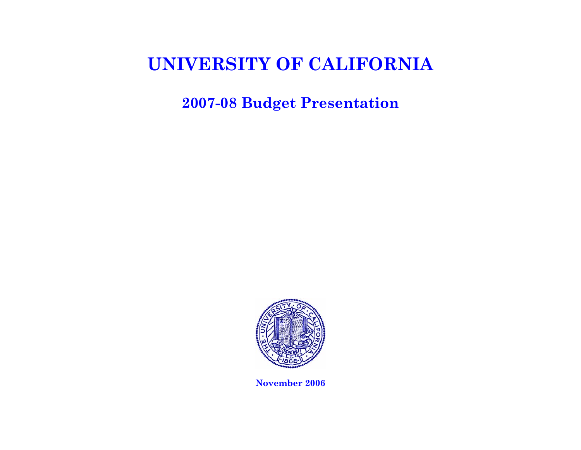**2007-08 Budget Presentation** 

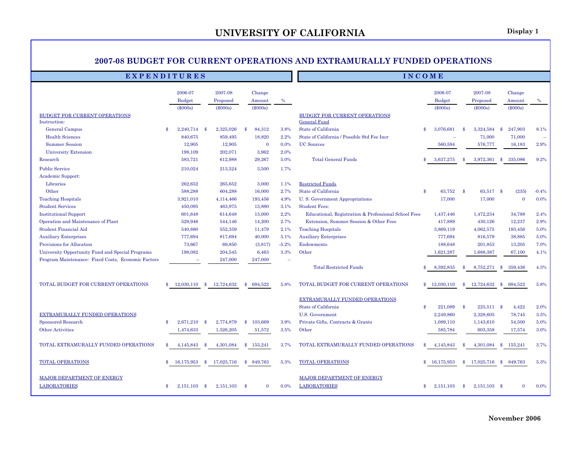#### **2007-08 BUDGET FOR CURRENT OPERATIONS AND EXTRAMURALLY FUNDED OPERATIONS**

#### **E X P E N D I T U R E S I N C O M E**

|                                                    |               | 2006-07       |    | 2007-08    |               | Change       |         |                                                      |               | 2006-07              |               | 2007-08        |      | Change         |         |
|----------------------------------------------------|---------------|---------------|----|------------|---------------|--------------|---------|------------------------------------------------------|---------------|----------------------|---------------|----------------|------|----------------|---------|
|                                                    |               | <b>Budget</b> |    | Proposed   |               | Amount       | $\%$    |                                                      |               | <b>Budget</b>        |               | Proposed       |      | Amount         | $\%$    |
| <b>BUDGET FOR CURRENT OPERATIONS</b>               |               | $(\$000s)$    |    | $(\$000s)$ |               | $(\$000s)$   |         | BUDGET FOR CURRENT OPERATIONS                        |               | $(\$000s)$           |               | $(\$000s)$     |      | $(\$000s)$     |         |
| Instruction:                                       |               |               |    |            |               |              |         | General Fund                                         |               |                      |               |                |      |                |         |
| <b>General Campus</b>                              | \$            | 2,240,714 \$  |    | 2,325,026  | - \$          | 84,312       | 3.8%    | State of California                                  | $\mathbf{\$}$ | 3,076,681            | -8            | 3,324,584      | - \$ | 247,903        | 8.1%    |
| <b>Health Sciences</b>                             |               | 840,675       |    | 859,495    |               | 18,820       | 2.2%    | State of California / Possible Std Fee Incr          |               | $\ddot{\phantom{a}}$ |               | 71,000         |      | 71,000         | $\sim$  |
| <b>Summer Session</b>                              |               | 12,905        |    | 12,905     |               | $\mathbf{0}$ | 0.0%    | <b>UC</b> Sources                                    |               | 560,594              |               | 576,777        |      | 16,183         | 2.9%    |
| <b>University Extension</b>                        |               | 198,109       |    | 202,071    |               | 3,962        | 2.0%    |                                                      |               |                      |               |                |      |                |         |
| Research                                           |               | 583,721       |    | 612,988    |               | 29,267       | 5.0%    | <b>Total General Funds</b>                           | \$            | 3,637,275            | \$.           | 3,972,361      | \$   | 335,086        | 9.2%    |
| <b>Public Service</b>                              |               | 210,024       |    | 213,524    |               | 3,500        | 1.7%    |                                                      |               |                      |               |                |      |                |         |
| Academic Support:                                  |               |               |    |            |               |              |         |                                                      |               |                      |               |                |      |                |         |
| Libraries                                          |               | 262,652       |    | 265,652    |               | 3,000        | 1.1%    | <b>Restricted Funds</b>                              |               |                      |               |                |      |                |         |
| Other                                              |               | 588.288       |    | 604,288    |               | 16,000       | 2.7%    | State of California                                  | $\mathbf{s}$  | 63,752               | $\mathbf{s}$  | 63,517 \$      |      | (235)          | $-0.4%$ |
| <b>Teaching Hospitals</b>                          |               | 3,921,010     |    | 4,114,466  |               | 193,456      | 4.9%    | U.S. Government Appropriations                       |               | 17,000               |               | 17,000         |      | $\overline{0}$ | 0.0%    |
| <b>Student Services</b>                            |               | 450,095       |    | 463,975    |               | 13,880       | 3.1%    | <b>Student Fees:</b>                                 |               |                      |               |                |      |                |         |
| <b>Institutional Support</b>                       |               | 601,648       |    | 614,648    |               | 13,000       | 2.2%    | Educational, Registration & Professional School Fees |               | 1,437,446            |               | 1,472,234      |      | 34,788         | 2.4%    |
| Operation and Maintenance of Plant                 |               | 529,946       |    | 544,146    |               | 14,200       | 2.7%    | Extension, Summer Session & Other Fees               |               | 417,889              |               | 430,126        |      | 12,237         | 2.9%    |
| <b>Student Financial Aid</b>                       |               | 540,880       |    | 552,359    |               | 11,479       | 2.1%    | <b>Teaching Hospitals</b>                            |               | 3,869,119            |               | 4,062,575      |      | 193,456        | 5.0%    |
| <b>Auxiliary Enterprises</b>                       |               | 777,694       |    | 817,694    |               | 40,000       | 5.1%    | <b>Auxiliary Enterprises</b>                         |               | 777,694              |               | 816,579        |      | 38,885         | 5.0%    |
| Provisions for Allocation                          |               | 73,667        |    | 69,850     |               | (3,817)      | $-5.2%$ | Endowments                                           |               | 188,648              |               | 201,853        |      | 13,205         | 7.0%    |
| University Opportunity Fund and Special Programs   |               | 198,082       |    | 204,545    |               | 6,463        | 3.3%    | Other                                                |               | 1,621,287            |               | 1,688,387      |      | 67,100         | 4.1%    |
| Program Maintenance: Fixed Costs, Economic Factors |               | $\sim$        |    | 247,000    |               | 247,000      | $\sim$  |                                                      |               |                      |               |                |      |                |         |
|                                                    |               |               |    |            |               |              |         | <b>Total Restricted Funds</b>                        |               | 8,392,835            | £.            | 8,752,271      | - \$ | 359,436        | 4.3%    |
| TOTAL BUDGET FOR CURRENT OPERATIONS                | $\mathbf{\$}$ | 12,030,110    | \$ | 12,724,632 | $\mathbf{s}$  | 694,522      | 5.8%    | TOTAL BUDGET FOR CURRENT OPERATIONS                  |               | \$12,030,110         | \$            | 12,724,632     | -8   | 694,522        | 5.8%    |
|                                                    |               |               |    |            |               |              |         | EXTRAMURALLY FUNDED OPERATIONS                       |               |                      |               |                |      |                |         |
|                                                    |               |               |    |            |               |              |         | State of California                                  | $\mathbf{\$}$ | 221,089              | - \$          | $225,511$ \$   |      | 4,422          | 2.0%    |
| EXTRAMURALLY FUNDED OPERATIONS                     |               |               |    |            |               |              |         | <b>U.S. Government</b>                               |               | 2,249,860            |               | 2,328,605      |      | 78,745         | 3.5%    |
| Sponsored Research                                 | $\mathbf{s}$  | 2.671.210     | -8 | 2,774,879  | $\mathbf{s}$  | 103.669      | 3.9%    | Private Gifts, Contracts & Grants                    |               | 1.089.110            |               | 1,143,610      |      | 54,500         | 5.0%    |
| <b>Other Activities</b>                            |               | 1,474,633     |    | 1,526,205  |               | 51,572       | 3.5%    | Other                                                |               | 585,784              |               | 603,358        |      | 17,574         | 3.0%    |
| TOTAL EXTRAMURALLY FUNDED OPERATIONS               | \$            | 4, 145, 843   | -8 | 4,301,084  | \$            | 155,241      | 3.7%    | TOTAL EXTRAMURALLY FUNDED OPERATIONS                 | \$            | 4,145,843            | <sup>\$</sup> | 4,301,084      | -8   | 155,241        | 3.7%    |
| <b>TOTAL OPERATIONS</b>                            | \$.           | 16,175,953    | \$ | 17,025,716 | \$            | 849,763      | 5.3%    | TOTAL OPERATIONS                                     | \$            | 16,175,953           | \$            | 17,025,716     | - \$ | 849,763        | 5.3%    |
| MAJOR DEPARTMENT OF ENERGY<br><b>LABORATORIES</b>  | \$            | 2,151,103     | \$ | 2,151,103  | $\mathbf{\$}$ | $\mathbf{0}$ | 0.0%    | MAJOR DEPARTMENT OF ENERGY<br><b>LABORATORIES</b>    | $\mathbf{\$}$ | 2,151,103            | \$            | $2,151,103$ \$ |      | $\mathbf{0}$   | 0.0%    |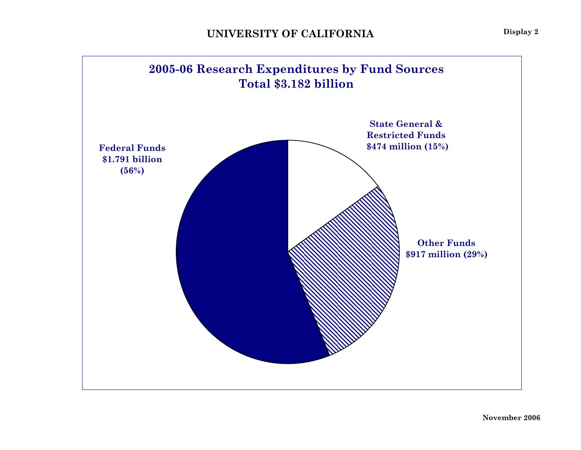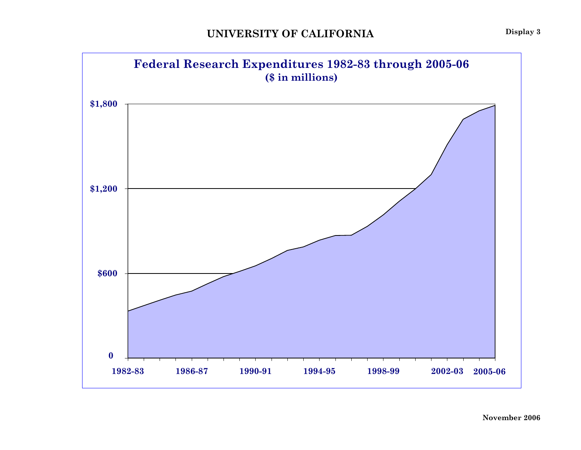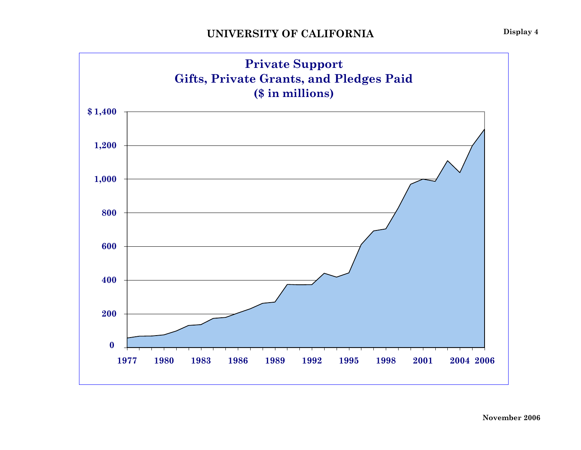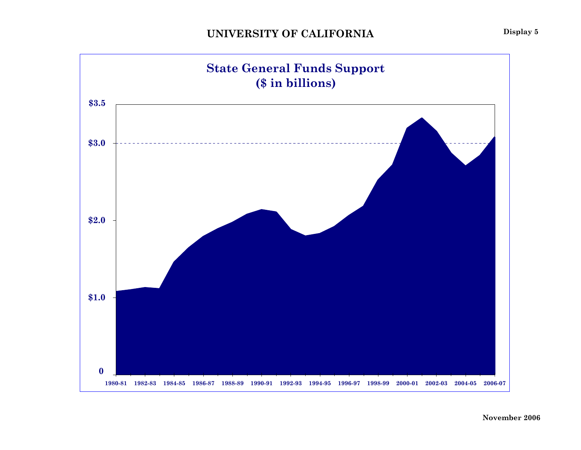

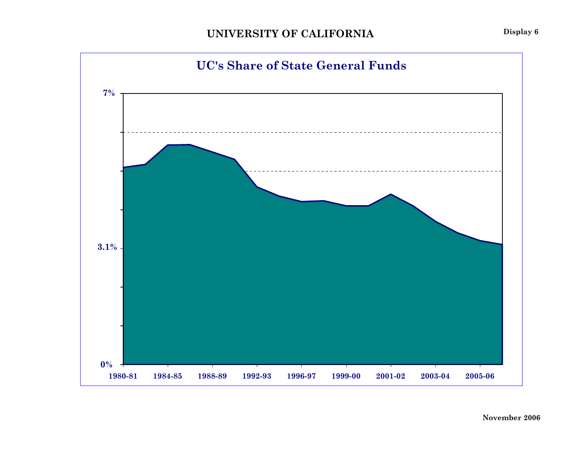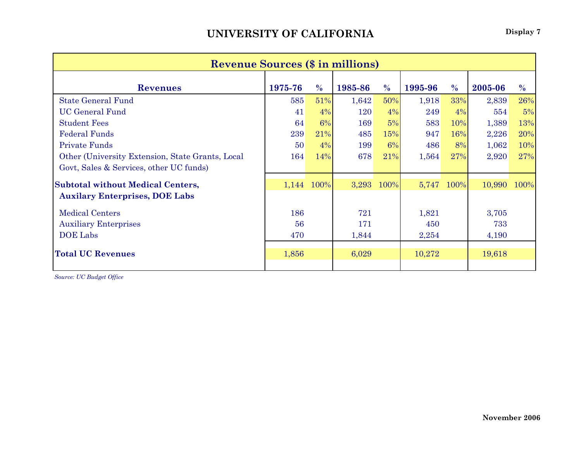| <b>Revenue Sources (\$ in millions)</b>          |         |               |         |               |         |               |         |               |  |  |  |  |  |
|--------------------------------------------------|---------|---------------|---------|---------------|---------|---------------|---------|---------------|--|--|--|--|--|
| <b>Revenues</b>                                  | 1975-76 | $\frac{0}{0}$ | 1985-86 | $\frac{0}{0}$ | 1995-96 | $\frac{0}{0}$ | 2005-06 | $\frac{0}{0}$ |  |  |  |  |  |
| <b>State General Fund</b>                        | 585     | 51%           | 1,642   | 50%           | 1,918   | 33%           | 2,839   | 26%           |  |  |  |  |  |
| <b>UC General Fund</b>                           | 41      | 4%            | 120     | $4\%$         | 249     | $4\%$         | 554     | 5%            |  |  |  |  |  |
| <b>Student Fees</b>                              | 64      | 6%            | 169     | 5%            | 583     | 10%           | 1,389   | 13%           |  |  |  |  |  |
| <b>Federal Funds</b>                             | 239     | 21%           | 485     | 15%           | 947     | 16%           | 2,226   | 20%           |  |  |  |  |  |
| <b>Private Funds</b>                             | 50      | 4%            | 199     | 6%            | 486     | 8%            | 1,062   | 10%           |  |  |  |  |  |
| Other (University Extension, State Grants, Local | 164     | 14%           | 678     | 21%           | 1,564   | 27%           | 2,920   | 27%           |  |  |  |  |  |
| Govt, Sales & Services, other UC funds)          |         |               |         |               |         |               |         |               |  |  |  |  |  |
| <b>Subtotal without Medical Centers,</b>         |         | 1,144 100%    | 3,293   | 100%          | 5,747   | 100%          | 10,990  | 100%          |  |  |  |  |  |
| <b>Auxilary Enterprises, DOE Labs</b>            |         |               |         |               |         |               |         |               |  |  |  |  |  |
| <b>Medical Centers</b>                           | 186     |               | 721     |               | 1,821   |               | 3,705   |               |  |  |  |  |  |
| <b>Auxiliary Enterprises</b>                     | 56      |               | 171     |               | 450     |               | 733     |               |  |  |  |  |  |
| <b>DOE</b> Labs                                  | 470     |               | 1,844   |               | 2,254   |               | 4,190   |               |  |  |  |  |  |
| <b>Total UC Revenues</b>                         | 1,856   |               | 6,029   |               | 10,272  |               | 19,618  |               |  |  |  |  |  |
|                                                  |         |               |         |               |         |               |         |               |  |  |  |  |  |

*Source: UC Budget Office*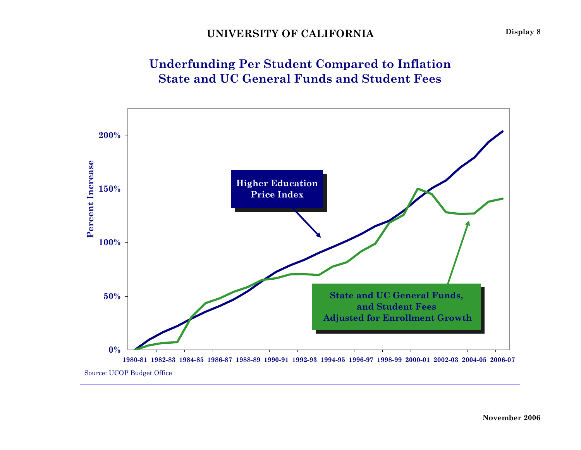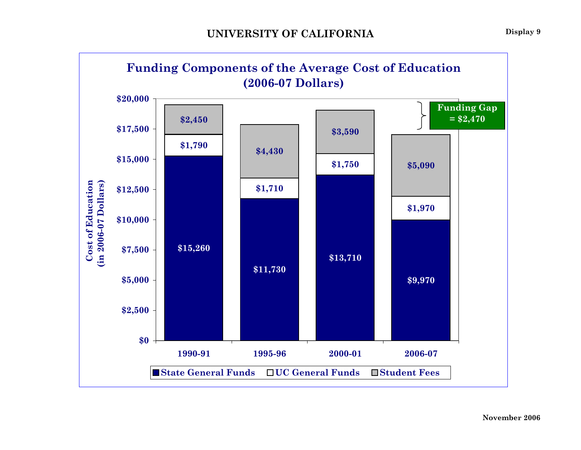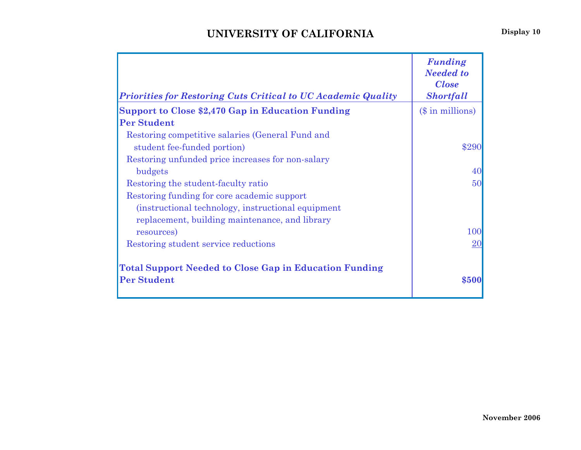| Priorities for Restoring Cuts Critical to UC Academic Quality                       | <b>Funding</b><br><b>Needed to</b><br><b>Close</b><br><b>Shortfall</b> |
|-------------------------------------------------------------------------------------|------------------------------------------------------------------------|
| <b>Support to Close \$2,470 Gap in Education Funding</b>                            | (\$ in millions)                                                       |
| <b>Per Student</b>                                                                  |                                                                        |
| Restoring competitive salaries (General Fund and                                    |                                                                        |
| student fee-funded portion)                                                         | \$290                                                                  |
| Restoring unfunded price increases for non-salary                                   |                                                                        |
| budgets                                                                             | 40                                                                     |
| Restoring the student-faculty ratio                                                 | 50                                                                     |
| Restoring funding for core academic support                                         |                                                                        |
| (instructional technology, instructional equipment)                                 |                                                                        |
| replacement, building maintenance, and library                                      |                                                                        |
| resources)                                                                          | 100                                                                    |
| Restoring student service reductions                                                | $20\,$                                                                 |
| <b>Total Support Needed to Close Gap in Education Funding</b><br><b>Per Student</b> | \$500                                                                  |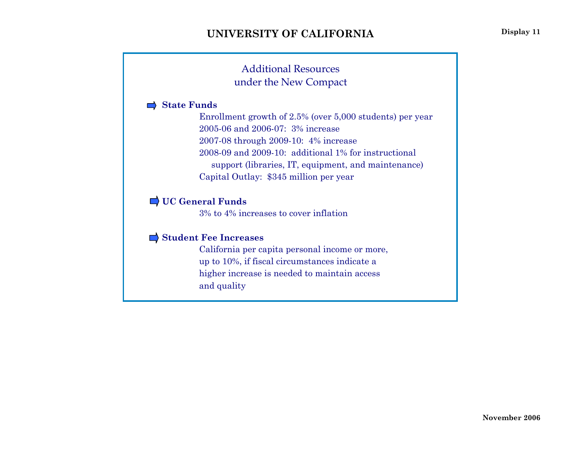### Additional Resourcesunder the New Compact

#### **State Funds**

Enrollment growth of 2.5% (over 5,000 students) per year 2005-06 and 2006-07: 3% increase 2007-08 through 2009-10: 4% increase 2008-09 and 2009-10: additional 1% for instructional support (libraries, IT, equipment, and maintenance) Capital Outlay: \$345 million per year

### **UC General Funds**

3% to 4% increases to cover inflation

#### **Student Fee Increases**

California per capita personal income or more, up to 10%, if fiscal circumstances indicate a higher increase is needed to maintain access and quality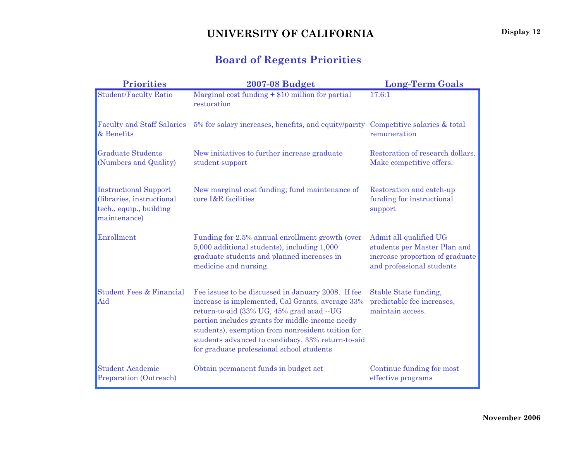# **Board of Regents Priorities**

| <b>Priorities</b>                                                                                    | <b>2007-08 Budget</b>                                                                                                                                                                                                                                                                                                                                         | <b>Long-Term Goals</b>                                                                                                 |
|------------------------------------------------------------------------------------------------------|---------------------------------------------------------------------------------------------------------------------------------------------------------------------------------------------------------------------------------------------------------------------------------------------------------------------------------------------------------------|------------------------------------------------------------------------------------------------------------------------|
| <b>Student/Faculty Ratio</b>                                                                         | Marginal cost funding $+ $10$ million for partial<br>restoration                                                                                                                                                                                                                                                                                              | 17.6:1                                                                                                                 |
| <b>Faculty and Staff Salaries</b><br>& Benefits                                                      | 5% for salary increases, benefits, and equity/parity                                                                                                                                                                                                                                                                                                          | Competitive salaries & total<br>remuneration                                                                           |
| <b>Graduate Students</b><br>(Numbers and Quality)                                                    | New initiatives to further increase graduate<br>student support                                                                                                                                                                                                                                                                                               | Restoration of research dollars.<br>Make competitive offers.                                                           |
| <b>Instructional Support</b><br>(libraries, instructional<br>tech., equip., building<br>maintenance) | New marginal cost funding; fund maintenance of<br>core I&R facilities                                                                                                                                                                                                                                                                                         | Restoration and catch-up<br>funding for instructional<br>support                                                       |
| Enrollment                                                                                           | Funding for 2.5% annual enrollment growth (over<br>5,000 additional students), including 1,000<br>graduate students and planned increases in<br>medicine and nursing.                                                                                                                                                                                         | Admit all qualified UG<br>students per Master Plan and<br>increase proportion of graduate<br>and professional students |
| <b>Student Fees &amp; Financial</b><br>Aid                                                           | Fee issues to be discussed in January 2008. If fee<br>increase is implemented, Cal Grants, average 33%<br>return-to-aid (33% UG, 45% grad acad --UG<br>portion includes grants for middle-income needy<br>students), exemption from nonresident tuition for<br>students advanced to candidacy, 33% return-to-aid<br>for graduate professional school students | Stable State funding,<br>predictable fee increases,<br>maintain access.                                                |
| <b>Student Academic</b><br>Preparation (Outreach)                                                    | Obtain permanent funds in budget act                                                                                                                                                                                                                                                                                                                          | Continue funding for most<br>effective programs                                                                        |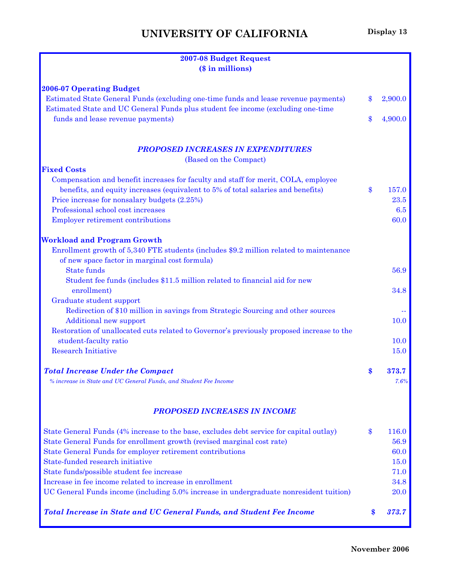| 2007-08 Budget Request<br>(\$ in millions)                                                                             |               |
|------------------------------------------------------------------------------------------------------------------------|---------------|
|                                                                                                                        |               |
| <b>2006-07 Operating Budget</b><br>Estimated State General Funds (excluding one-time funds and lease revenue payments) | \$<br>2,900.0 |
| Estimated State and UC General Funds plus student fee income (excluding one-time                                       |               |
| funds and lease revenue payments)                                                                                      | \$<br>4,900.0 |
| <b>PROPOSED INCREASES IN EXPENDITURES</b>                                                                              |               |
| (Based on the Compact)                                                                                                 |               |
| <b>Fixed Costs</b>                                                                                                     |               |
| Compensation and benefit increases for faculty and staff for merit, COLA, employee                                     |               |
| benefits, and equity increases (equivalent to 5% of total salaries and benefits)                                       | \$<br>157.0   |
| Price increase for nonsalary budgets (2.25%)                                                                           | 23.5          |
| Professional school cost increases                                                                                     | 6.5           |
| <b>Employer retirement contributions</b>                                                                               | 60.0          |
| <b>Workload and Program Growth</b>                                                                                     |               |
| Enrollment growth of 5,340 FTE students (includes \$9.2 million related to maintenance                                 |               |
| of new space factor in marginal cost formula)                                                                          |               |
| <b>State funds</b>                                                                                                     | 56.9          |
| Student fee funds (includes \$11.5 million related to financial aid for new                                            |               |
| enrollment)                                                                                                            | 34.8          |
| Graduate student support                                                                                               |               |
| Redirection of \$10 million in savings from Strategic Sourcing and other sources                                       |               |
| <b>Additional new support</b>                                                                                          | 10.0          |
| Restoration of unallocated cuts related to Governor's previously proposed increase to the                              |               |
| student-faculty ratio                                                                                                  | 10.0          |
| <b>Research Initiative</b>                                                                                             | 15.0          |
| <b>Total Increase Under the Compact</b>                                                                                | \$<br>373.7   |
| % increase in State and UC General Funds, and Student Fee Income                                                       | 7.6%          |
| <b>PROPOSED INCREASES IN INCOME</b>                                                                                    |               |
|                                                                                                                        |               |
| State General Funds (4% increase to the base, excludes debt service for capital outlay)                                | \$<br>116.0   |
| State General Funds for enrollment growth (revised marginal cost rate)                                                 | 56.9          |
| State General Funds for employer retirement contributions                                                              | 60.0          |
| State-funded research initiative                                                                                       | 15.0          |
| State funds/possible student fee increase                                                                              | 71.0          |
| Increase in fee income related to increase in enrollment                                                               | 34.8          |
| UC General Funds income (including 5.0% increase in undergraduate nonresident tuition)                                 | 20.0          |
| <b>Total Increase in State and UC General Funds, and Student Fee Income</b>                                            | \$<br>373.7   |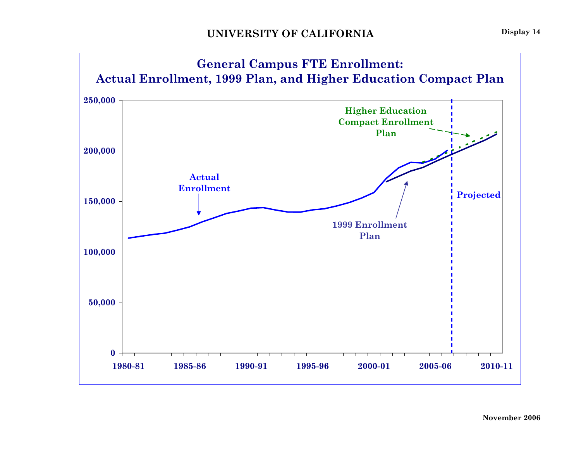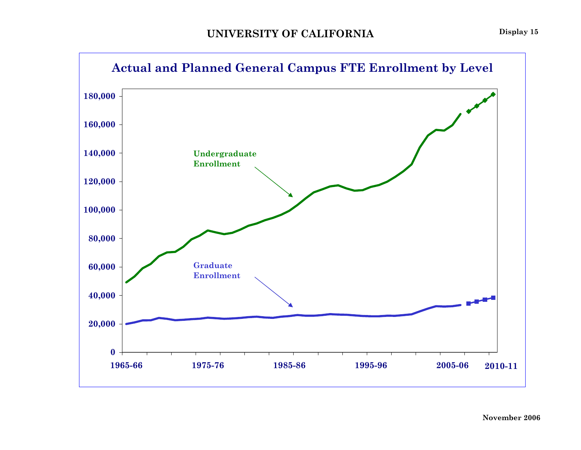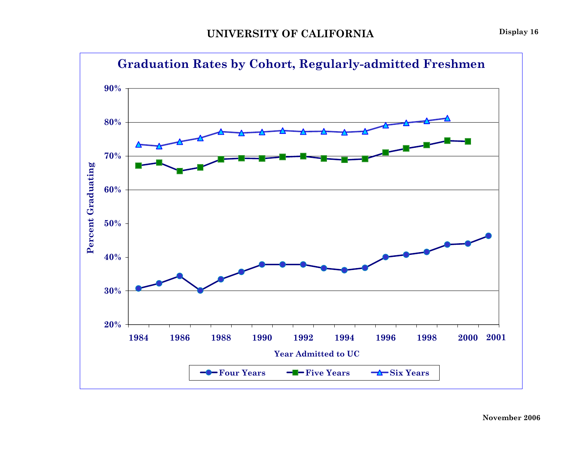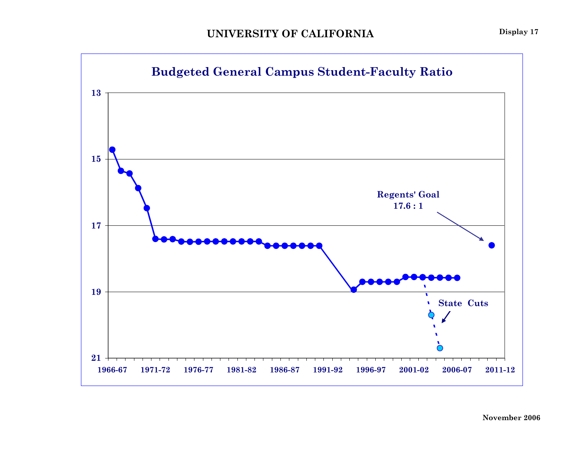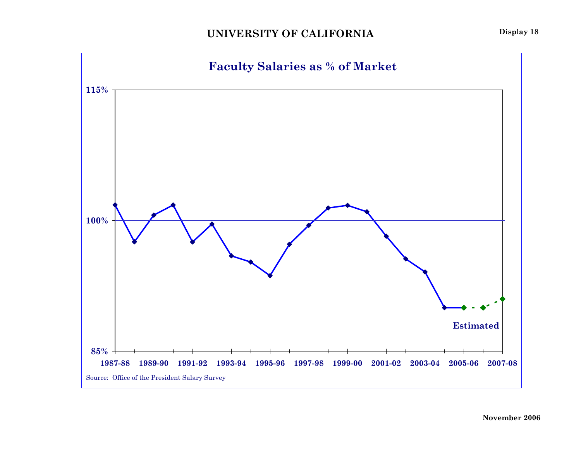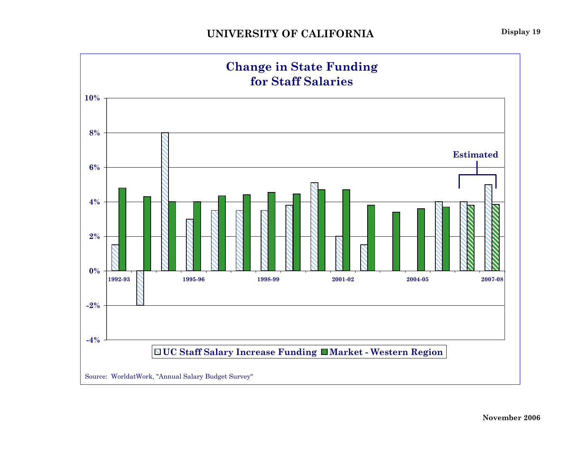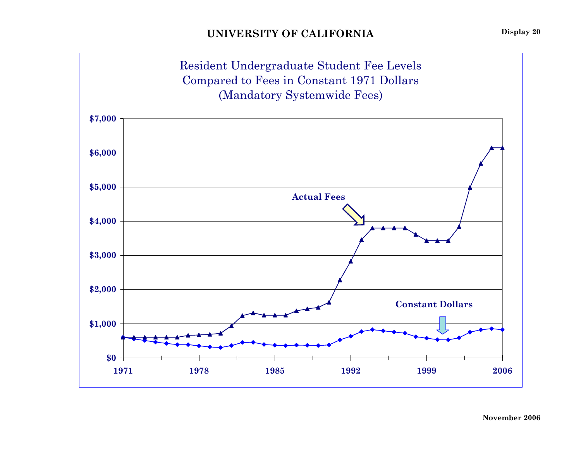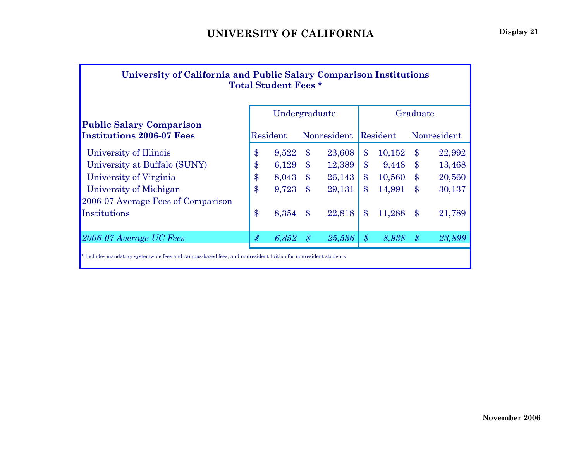| University of California and Public Salary Comparison Institutions<br><b>Total Student Fees *</b> |
|---------------------------------------------------------------------------------------------------|
|                                                                                                   |

Undergraduate | Graduate

### **Public Salary Comparison Institutions 2006-07 Fees**

| <b>Institutions 2006-07 Fees</b>                       |                | Resident       |                | Nonresident      |               | Resident        |            | Nonresident      |  |
|--------------------------------------------------------|----------------|----------------|----------------|------------------|---------------|-----------------|------------|------------------|--|
| University of Illinois                                 | $\$\$          | 9,522          | $\$\$          | 23,608           | \$            | 10,152          | $\$\$      | 22,992           |  |
| University at Buffalo (SUNY)<br>University of Virginia | $\$\$<br>$\$\$ | 6,129<br>8,043 | $\$\$<br>$\$\$ | 12,389<br>26,143 | $\$\$<br>\$   | 9,448<br>10,560 | \$.<br>\$. | 13,468<br>20,560 |  |
| University of Michigan                                 | $\$\$          | 9,723          | $\$\$          | 29,131           | S             | 14,991          | \$.        | 30,137           |  |
| 2006-07 Average Fees of Comparison                     |                |                |                |                  |               |                 |            |                  |  |
| Institutions                                           | $\mathbf{\$}$  | 8,354          | $\$\$          | 22,818           |               | 11,288          |            | 21,789           |  |
| 2006-07 Average UC Fees                                | $\mathcal{S}$  | 6,852          | $\cdot s$      | 25,536           | $\mathcal{S}$ | 8,938           |            | 23,899           |  |
|                                                        |                |                |                |                  |               |                 |            |                  |  |

\* Includes mandatory systemwide fees and campus-based fees, and nonresident tuition for nonresident students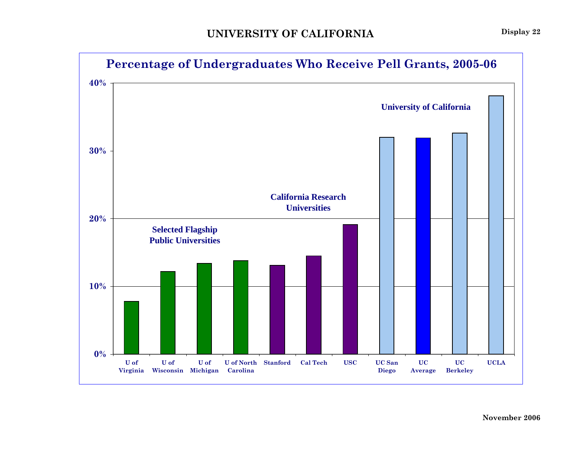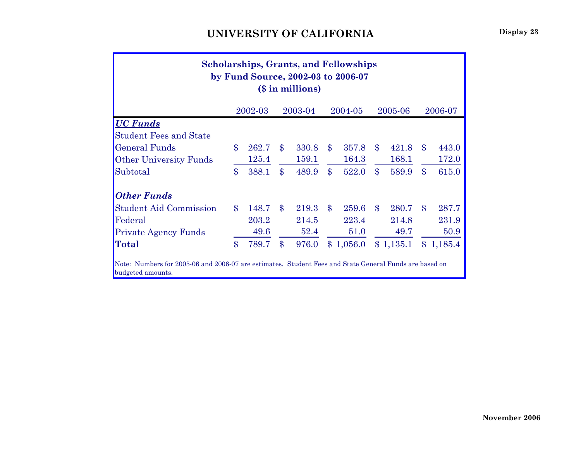| <b>Scholarships, Grants, and Fellowships</b><br>by Fund Source, 2002-03 to 2006-07<br>(\$ in millions)                      |       |       |                    |       |               |           |                    |           |       |           |  |  |  |  |
|-----------------------------------------------------------------------------------------------------------------------------|-------|-------|--------------------|-------|---------------|-----------|--------------------|-----------|-------|-----------|--|--|--|--|
| 2006-07<br>2002-03<br>2003-04<br>2005-06<br>2004-05                                                                         |       |       |                    |       |               |           |                    |           |       |           |  |  |  |  |
| <b>UC Funds</b>                                                                                                             |       |       |                    |       |               |           |                    |           |       |           |  |  |  |  |
| <b>Student Fees and State</b>                                                                                               |       |       |                    |       |               |           |                    |           |       |           |  |  |  |  |
| <b>General Funds</b>                                                                                                        | $\$\$ | 262.7 | $\$\$              | 330.8 | $\mathbf{\$}$ | 357.8     | $\boldsymbol{\$\}$ | 421.8     | $\$\$ | 443.0     |  |  |  |  |
| <b>Other University Funds</b>                                                                                               |       | 125.4 |                    | 159.1 |               | 164.3     |                    | 168.1     |       | 172.0     |  |  |  |  |
| Subtotal                                                                                                                    | \$    | 388.1 | $\$\$              | 489.9 | $\$\$         | 522.0     | $\$\$              | 589.9     | $\$\$ | 615.0     |  |  |  |  |
| <b>Other Funds</b>                                                                                                          |       |       |                    |       |               |           |                    |           |       |           |  |  |  |  |
| <b>Student Aid Commission</b>                                                                                               | $\$\$ | 148.7 | $\mathbf{\$}$      | 219.3 | $\$\$         | 259.6     | $\mathbf{\$}$      | 280.7     | $\$\$ | 287.7     |  |  |  |  |
| Federal                                                                                                                     |       | 203.2 |                    | 214.5 |               | 223.4     |                    | 214.8     |       | 231.9     |  |  |  |  |
| <b>Private Agency Funds</b>                                                                                                 |       | 49.6  |                    | 52.4  |               | 51.0      |                    | 49.7      |       | 50.9      |  |  |  |  |
| <b>Total</b>                                                                                                                | \$    | 789.7 | $\boldsymbol{\$\}$ | 976.0 |               | \$1,056.0 |                    | \$1,135.1 |       | \$1,185.4 |  |  |  |  |
| Note: Numbers for 2005-06 and 2006-07 are estimates. Student Fees and State General Funds are based on<br>budgeted amounts. |       |       |                    |       |               |           |                    |           |       |           |  |  |  |  |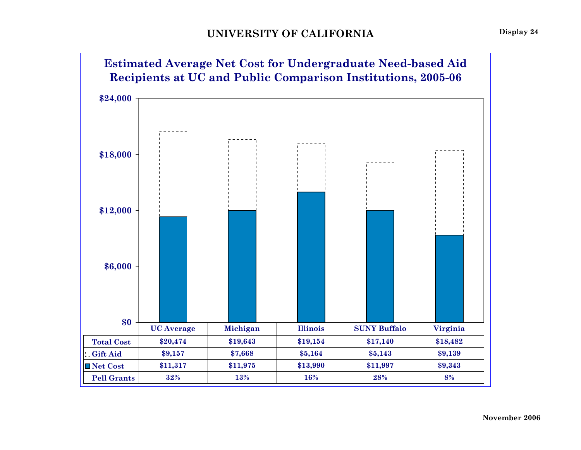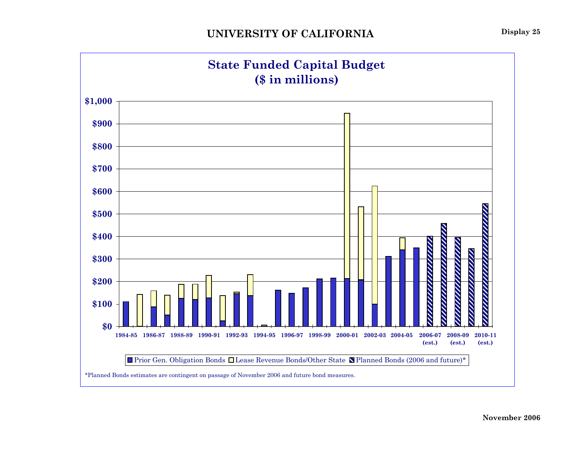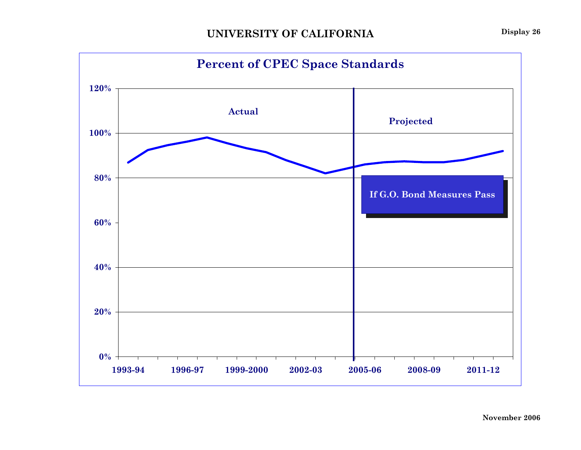

**Display 26**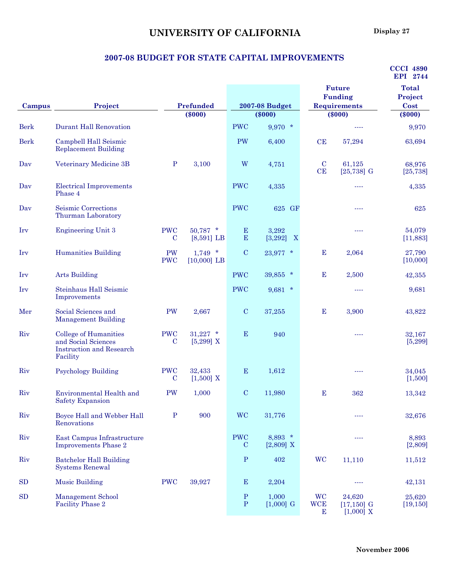### **UNIVERSITY OF CALIFORNIA** Display 27

#### **2007-08 BUDGET FOR STATE CAPITAL IMPROVEMENTS**

|             |                                                                                             |                           |                            |                              |                                               |                              |                                        | <b>CCCI 4890</b><br>EPI 2744 |
|-------------|---------------------------------------------------------------------------------------------|---------------------------|----------------------------|------------------------------|-----------------------------------------------|------------------------------|----------------------------------------|------------------------------|
|             |                                                                                             |                           |                            |                              |                                               |                              | <b>Future</b>                          | <b>Total</b>                 |
|             |                                                                                             |                           |                            |                              |                                               |                              | <b>Funding</b>                         | Project                      |
| Campus      | Project                                                                                     |                           | Prefunded<br>$(\$000)$     |                              | <b>2007-08 Budget</b><br>$(\$000)$            |                              | <b>Requirements</b><br>$(\$000)$       | Cost<br>$(\$000)$            |
| <b>Berk</b> | <b>Durant Hall Renovation</b>                                                               |                           |                            | <b>PWC</b>                   | $9,970$ *                                     |                              | ----                                   | 9,970                        |
| <b>Berk</b> | Campbell Hall Seismic<br><b>Replacement Building</b>                                        |                           |                            | PW                           | 6,400                                         | CE                           | 57,294                                 | 63,694                       |
| Dav         | Veterinary Medicine 3B                                                                      | $\mathbf P$               | 3,100                      | W                            | 4,751                                         | $\mathbf C$<br>CE            | 61,125<br>$[25, 738]$ G                | 68,976<br>[25, 738]          |
| Day         | <b>Electrical Improvements</b><br>Phase 4                                                   |                           |                            | <b>PWC</b>                   | 4,335                                         |                              | ----                                   | 4,335                        |
| Dav         | Seismic Corrections<br>Thurman Laboratory                                                   |                           |                            | <b>PWC</b>                   | 625 GF                                        |                              | ----                                   | 625                          |
| Irv         | <b>Engineering Unit 3</b>                                                                   | <b>PWC</b><br>$\mathbf C$ | $50,787$ *<br>$[8,591]$ LB | E<br>E                       | 3,292<br>[3,292]<br>$\boldsymbol{\mathrm{X}}$ |                              | ----                                   | 54,079<br>[11,883]           |
| Irv         | <b>Humanities Building</b>                                                                  | PW<br><b>PWC</b>          | $1,749$ *<br>$[10,000]$ LB | $\mathbf C$                  | $23,977$ *                                    | E                            | 2,064                                  | 27,790<br>[10,000]           |
| Irv         | <b>Arts Building</b>                                                                        |                           |                            | <b>PWC</b>                   | 39,855 *                                      | E                            | 2,500                                  | 42,355                       |
| Irv         | Steinhaus Hall Seismic<br>Improvements                                                      |                           |                            | <b>PWC</b>                   | $9,681$ *                                     |                              | ----                                   | 9,681                        |
| Mer         | Social Sciences and<br><b>Management Building</b>                                           | PW                        | 2,667                      | $\mathbf C$                  | 37,255                                        | Е                            | 3,900                                  | 43,822                       |
| Riv         | College of Humanities<br>and Social Sciences<br><b>Instruction and Research</b><br>Facility | <b>PWC</b><br>C           | $31,227$ *<br>$[5,299]$ X  | E                            | 940                                           |                              | ----                                   | 32,167<br>[5, 299]           |
| Riv         | <b>Psychology Building</b>                                                                  | <b>PWC</b><br>$\mathbf C$ | 32,433<br>$[1,500]$ X      | E                            | 1,612                                         |                              | ----                                   | 34,045<br>[1,500]            |
| Riv         | Environmental Health and<br><b>Safety Expansion</b>                                         | PW                        | 1,000                      | $\mathbf C$                  | 11,980                                        | $\mathbf E$                  | 362                                    | 13,342                       |
| Riv         | Boyce Hall and Webber Hall<br>Renovations                                                   | $\, {\bf P}$              | 900                        | <b>WC</b>                    | 31,776                                        |                              | ----                                   | 32,676                       |
| Riv         | East Campus Infrastructure<br><b>Improvements Phase 2</b>                                   |                           |                            | <b>PWC</b><br>$\mathbf C$    | $8,893$ *<br>$[2,809]$ X                      |                              | ----                                   | 8,893<br>[2,809]             |
| Riv         | <b>Batchelor Hall Building</b><br><b>Systems Renewal</b>                                    |                           |                            | $\, {\bf P}$                 | 402                                           | <b>WC</b>                    | 11,110                                 | 11,512                       |
| SD          | <b>Music Building</b>                                                                       | <b>PWC</b>                | 39,927                     | $\mathbf E$                  | 2,204                                         |                              | ----                                   | 42,131                       |
| SD          | <b>Management School</b><br><b>Facility Phase 2</b>                                         |                           |                            | $\, {\bf P}$<br>$\, {\bf P}$ | 1,000<br>$[1,000]$ G                          | <b>WC</b><br><b>WCE</b><br>Е | 24,620<br>$[17, 150]$ G<br>$[1,000]$ X | 25,620<br>[19, 150]          |